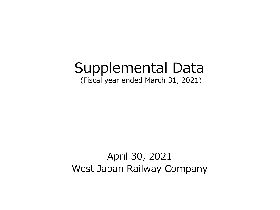# Supplemental Data

(Fiscal year ended March 31, 2021)

## April 30, 2021 West Japan Railway Company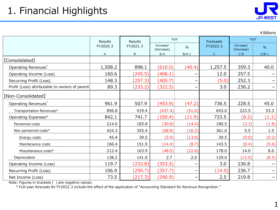¥Billions

|                                                | Results<br>Results |          | YoY               |               | Forecasts    | YoY                     |                          |  |
|------------------------------------------------|--------------------|----------|-------------------|---------------|--------------|-------------------------|--------------------------|--|
|                                                | FY2020.3           | FY2021.3 |                   | $\frac{0}{0}$ | FY2022.3     | Increase/<br>(Decrease) | $\frac{9}{6}$            |  |
|                                                | A                  | B        | (Decrease)<br>B-A | $B/A-1$       | $\mathsf{C}$ | $C-B$                   | $C/B-1$                  |  |
| [Consolidated]                                 |                    |          |                   |               |              |                         |                          |  |
| Operating Revenues*                            | 1,508.2            | 898.1    | (610.0)           | (40.4)        | 1,257.5      | 359.3                   | 40.0                     |  |
| Operating Income (Loss)                        | 160.6              | (245.5)  | (406.1)           | —             | 12.0         | 257.5                   |                          |  |
| Recurring Profit (Loss)                        | 148.3              | (257.3)  | (405.7)           |               | (5.0)        | 252.3                   |                          |  |
| Profit (Loss) attributable to owners of parent | 89.3               | (233.2)  | (322.5)           | —             | 3.0          | 236.2                   |                          |  |
| [Non-Consolidated]                             |                    |          |                   |               |              |                         |                          |  |
| Operating Revenues*                            | 961.9              | 507.9    | (453.9)           | (47.2)        | 736.5        | 228.5                   | 45.0                     |  |
| Transportation Revenues*                       | 856.8              | 419.4    | (437.4)           | (51.0)        | 643.0        | 223.5                   | 53.3                     |  |
| Operating Expenses*                            | 842.1              | 741.7    | (100.4)           | (11.9)        | 733.5        | (8.2)                   | (1.1)                    |  |
| Personnel costs                                | 214.6              | 183.8    | (30.8)            | (14.4)        | 180.5        | (3.3)                   | (1.8)                    |  |
| Non personnel costs*                           | 424.3              | 355.4    | (68.8)            | (16.2)        | 361.0        | 5.5                     | 1.5                      |  |
| Energy costs                                   | 45.4               | 39.5     | (5.9)             | (13.0)        | 39.5         | (0.0)                   | (0.2)                    |  |
| Maintenance costs                              | 166.4              | 151.9    | (14.4)            | (8.7)         | 143.5        | (8.4)                   | (5.6)                    |  |
| Miscellaneous costs*                           | 212.4              | 163.9    | (48.5)            | (22.8)        | 178.0        | 14.0                    | 8.6                      |  |
| Depreciation                                   | 138.2              | 141.0    | 2.7               | 2.0           | 129.0        | (12.0)                  | (8.5)                    |  |
| Operating Income (Loss)                        | 119.7              | (233.8)  | (353.5)           | —             | 3.0          | 236.8                   | —                        |  |
| Recurring Profit (Loss)                        | 106.9              | (250.7)  | (357.7)           | —             | (14.0)       | 236.7                   | —                        |  |
| Net Income (Loss)                              | 73.5               | (217.3)  | (290.9)           | —             | 2.5          | 219.8                   | $\overline{\phantom{m}}$ |  |

Note: Figures in brackets ( ) are negative values.

\* Full-year forecasts for FY2022.3 include the effect of the application of "Accounting Standard for Revenue Recognition."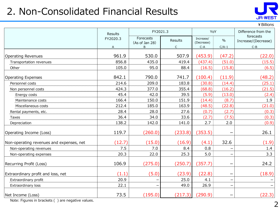### 2. Non-Consolidated Financial Results



¥Billions

|                                          | <b>Results</b> | FY2021.3                    |                | YoY                     |                   | Difference from the              |
|------------------------------------------|----------------|-----------------------------|----------------|-------------------------|-------------------|----------------------------------|
|                                          | FY2020.3       | Forecasts<br>(As of Jan 28) | Results        | Increase/<br>(Decrease) | $\%$              | forecasts<br>Increase/(Decrease) |
|                                          | A              | <sub>B</sub>                | $\overline{C}$ | $C-A$                   | $C/A-1$           | $C-B$                            |
| <b>Operating Revenues</b>                | 961.9          | 530.0                       | 507.9          | (453.9)                 | (47.2)            | (22.0)                           |
| Transportation revenues                  | 856.8          | 435.0                       | 419.4          | (437.4)                 | (51.0)            | (15.5)                           |
| Other                                    | 105.0          | 95.0                        | 88.4           | (16.5)                  | (15.8)            | (6.5)                            |
|                                          |                |                             |                |                         |                   |                                  |
| <b>Operating Expenses</b>                | 842.1          | 790.0                       | 741.7          | (100.4)                 | (11.9)            | (48.2)                           |
| Personnel costs                          | 214.6          | 209.0                       | 183.8          | (30.8)                  | (14.4)            | (25.1)                           |
| Non personnel costs                      | 424.3          | 377.0                       | 355.4          | (68.8)                  | (16.2)            | (21.5)                           |
| Energy costs                             | 45.4           | 42.0                        | 39.5           | (5.9)                   | (13.0)            | (2.4)                            |
| Maintenance costs                        | 166.4          | 150.0                       | 151.9          | (14.4)                  | (8.7)             | 1.9                              |
| Miscellaneous costs                      | 212.4          | 185.0                       | 163.9          | (48.5)                  | (22.8)            | (21.0)                           |
| Rental payments, etc.                    | 28.4           | 28.0                        | 27.6           | (0.7)                   | (2.7)             | (0.3)                            |
| <b>Taxes</b>                             | 36.4           | 34.0                        | 33.6           | (2.7)                   | (7.5)             | (0.3)                            |
| Depreciation                             | 138.2          | 142.0                       | 141.0          | 2.7                     | 2.0               | (0.9)                            |
| Operating Income (Loss)                  | 119.7          | (260.0)                     | (233.8)        | (353.5)                 |                   | 26.1                             |
| Non-operating revenues and expenses, net | (12.7)         | (15.0)                      | (16.9)         | (4.1)                   | 32.6              | (1.9)                            |
| Non-operating revenues                   | 7.5            | 7.0                         | 8.4            | 0.8                     |                   | 1.4                              |
| Non-operating expenses                   | 20.3           | 22.0                        | 25.3           | 5.0                     |                   | 3.3                              |
| Recurring Profit (Loss)                  | 106.9          | (275.0)                     | (250.7)        | (357.7)                 | -                 | 24.2                             |
| Extraordinary profit and loss, net       | (1.1)          | (5.0)                       | (23.9)         | (22.8)                  |                   | (18.9)                           |
| Extraordinary profit                     | 20.9           |                             | 25.0           | 4.1                     | -                 |                                  |
| Extraordinary loss                       | 22.1           |                             | 49.0           | 26.9                    | $\qquad \qquad -$ | $\qquad \qquad -$                |
| Net Income (Loss)                        | 73.5           | (195.0)                     | (217.3)        | (290.9)                 |                   | (22.3)                           |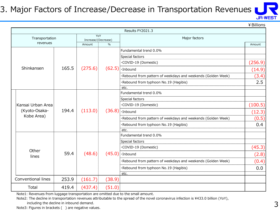#### 3. Major Factors of Increase/Decrease in Transportation Revenues



¥Billions

|  |                    |       |                            |                        | Results FY2021.3                                            |         |  |  |  |
|--|--------------------|-------|----------------------------|------------------------|-------------------------------------------------------------|---------|--|--|--|
|  | Transportation     |       | YoY<br>Increase/(Decrease) |                        | Major factors                                               |         |  |  |  |
|  | revenues           |       | $\%$<br>Amount             |                        |                                                             | Amount  |  |  |  |
|  |                    |       |                            | Fundamental trend 0.0% |                                                             |         |  |  |  |
|  |                    |       |                            |                        | Special factors                                             |         |  |  |  |
|  |                    |       |                            |                        | ·COVID-19 (Domestic)                                        | (256.9) |  |  |  |
|  | Shinkansen         | 165.5 | (275.6)                    |                        | $(62.5)$ . Inbound                                          | (14.9)  |  |  |  |
|  |                    |       |                            |                        | Rebound from pattern of weekdays and weekends (Golden Week) | (3.4)   |  |  |  |
|  |                    |       |                            |                        | ·Rebound from typhoon No.19 (Hagibis)                       | 2.5     |  |  |  |
|  |                    |       |                            |                        | etc.                                                        |         |  |  |  |
|  |                    |       |                            |                        | Fundamental trend 0.0%                                      |         |  |  |  |
|  |                    |       |                            |                        | Special factors                                             |         |  |  |  |
|  | Kansai Urban Area  |       |                            |                        | ·COVID-19 (Domestic)                                        | (100.5) |  |  |  |
|  | (Kyoto-Osaka-      | 194.4 | (113.0)                    |                        | $(36.8)$ . Inbound                                          | (12.3)  |  |  |  |
|  | Kobe Area)         |       |                            |                        | Rebound from pattern of weekdays and weekends (Golden Week) | (0.5)   |  |  |  |
|  |                    |       |                            |                        | Rebound from typhoon No.19 (Hagibis)                        | 0.4     |  |  |  |
|  |                    |       |                            |                        | etc.                                                        |         |  |  |  |
|  |                    |       |                            |                        | Fundamental trend 0.0%                                      |         |  |  |  |
|  |                    |       |                            |                        | Special factors                                             |         |  |  |  |
|  |                    |       |                            |                        | ·COVID-19 (Domestic)                                        | (45.3)  |  |  |  |
|  | Other<br>lines     | 59.4  | (48.6)                     |                        | $(45.0)$ . Inbound                                          | (2.8)   |  |  |  |
|  |                    |       |                            |                        | Rebound from pattern of weekdays and weekends (Golden Week) | (0.4)   |  |  |  |
|  |                    |       |                            |                        | Rebound from typhoon No.19 (Hagibis)                        | 0.0     |  |  |  |
|  |                    |       |                            |                        | etc.                                                        |         |  |  |  |
|  | Conventional lines | 253.9 | (161.7)                    | (38.9)                 |                                                             |         |  |  |  |
|  | Total              | 419.4 | (437.4)                    | (51.0)                 |                                                             |         |  |  |  |

Note1: Revenues from luggage transportation are omitted due to the small amount.

Note2: The decline in transportation revenues attributable to the spread of the novel coronavirus infection is ¥433.0 billion (YoY),

including the decline in inbound demand.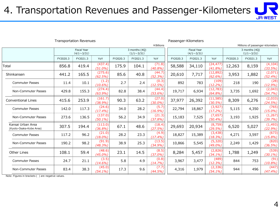### 4. Transportation Revenues and Passenger-Kilometers

| <b>JR-WEST</b> |  |
|----------------|--|

|                                              | <b>Transportation Revenues</b> |                                         |                       |                                    |          |                      | Passenger-Kilometers                    |          |                         |                                    |          |                     |
|----------------------------------------------|--------------------------------|-----------------------------------------|-----------------------|------------------------------------|----------|----------------------|-----------------------------------------|----------|-------------------------|------------------------------------|----------|---------------------|
|                                              | ¥ Billions                     |                                         |                       |                                    |          |                      | Millions of passenger-kilometers        |          |                         |                                    |          |                     |
|                                              |                                | <b>Fiscal Year</b><br>$(4/1 \sim 3/31)$ |                       | 3 months (4Q)<br>$(1/1 \sim 3/31)$ |          |                      | <b>Fiscal Year</b><br>$(4/1 \sim 3/31)$ |          |                         | 3 months (4Q)<br>$(1/1 \sim 3/31)$ |          |                     |
|                                              | FY2020.3                       | FY2021.3                                | YoY                   | FY2020.3                           | FY2021.3 | YoY                  | FY2020.3                                | FY2021.3 | YoY                     | FY2020.3                           | FY2021.3 | YoY                 |
| Total                                        | 856.8                          | 419.4                                   | (437.4)<br>$(51.0\%)$ | 175.9                              | 104.1    | (71.8)<br>(40.8%)    | 58,588                                  | 34,110   | (24, 477)<br>(41.8%     | 12,263                             | 8,159    | (4, 104)<br>(33.5%) |
| Shinkansen                                   | 441.2                          | 165.5                                   | (275.6)<br>(62.5%)    | 85.6                               | 40.8     | (44.7)<br>(52.3%)    | 20,610                                  | 7,717    | (12, 892)<br>(62.6%)    | 3,953                              | 1,882    | (2,071)<br>(52.4%)  |
| <b>Commuter Passes</b>                       | 11.4                           | 10.1                                    | (1.2)<br>$(10.6\%)$   | 2.7                                | 2.4      | (0.3)<br>$(12.5\%)$  | 892                                     | 783      | (109)<br>$(12.2\%)$     | 218                                | 190      | (28)<br>(12.9%)     |
| Non-Commuter Passes                          | 429.8                          | 155.3                                   | (274.4)<br>$(63.9\%)$ | 82.8                               | 38.4     | (44.4)<br>(53.6%)    | 19,717                                  | 6,934    | (12, 783)<br>$(64.8\%)$ | 3,735                              | 1,692    | (2,043)<br>(54.7%)  |
| <b>Conventional Lines</b>                    | 415.6                          | 253.9                                   | (161.7)<br>(38.9%)    | 90.3                               | 63.2     | (27.0)<br>(30.0%)    | 37,977                                  | 26,392   | (11, 585)<br>(30.5%)    | 8,309                              | 6,276    | (2,033)<br>(24.5%)  |
| Commuter Passes                              | 142.0                          | 117.3                                   | (24.6)<br>(17.4%)     | 34.0                               | 28.2     | (5.7)<br>$(16.9\%)$  | 22,794                                  | 18,867   | (3, 927)<br>(17.2%)     | 5,115                              | 4,350    | (765)<br>$(15.0\%)$ |
| Non-Commuter Passes                          | 273.6                          | 136.5                                   | (137.0)<br>$(50.1\%)$ | 56.2                               | 34.9     | (21.3)<br>(37.8%     | 15,183                                  | 7,525    | (7,657)<br>(50.4%       | 3,193                              | 1,925    | (1, 267)<br>(39.7%) |
| Kansai Urban Area<br>(Kyoto-Osaka-Kobe Area) | 307.5                          | 194.4                                   | (113.0)<br>(36.8%)    | 67.1                               | 48.6     | (18.4)<br>(27.5%)    | 29,693                                  | 20,934   | (8,759)<br>(29.5%       | 6,520                              | 5,027    | (1, 493)<br>(22.9%) |
| <b>Commuter Passes</b>                       | 117.2                          | 96.2                                    | (21.0)<br>$(18.0\%)$  | 28.2                               | 23.3     | (4.9)<br>$(17.4\%)$  | 18,827                                  | 15,389   | (3, 438)<br>(18.3%)     | 4,271                              | 3,597    | (673)<br>(15.8%)    |
| Non-Commuter Passes                          | 190.2                          | 98.2                                    | (91.9)<br>(48.3%)     | 38.9                               | 25.3     | (13.5)<br>$(34.9\%)$ | 10,866                                  | 5,545    | (5, 320)<br>$(49.0\%)$  | 2,249                              | 1,429    | (820)<br>(36.5%)    |
| <b>Other Lines</b>                           | 108.1                          | 59.4                                    | (48.6)<br>$(45.0\%)$  | 23.1                               | 14.5     | (8.5)<br>$(37.0\%)$  | 8,284                                   | 5,457    | (2,826)<br>$(34.1\%)$   | 1,788                              | 1,249    | (539)<br>$(30.1\%)$ |
| <b>Commuter Passes</b>                       | 24.7                           | 21.1                                    | (3.5)<br>$(14.6\%)$   | 5.8                                | 4.9      | (0.8)<br>(14.7%)     | 3,967                                   | 3,477    | (489)<br>(12.3%)        | 844                                | 753      | (91)<br>$(10.8\%)$  |
| Non-Commuter Passes                          | 83.4                           | 38.3                                    | (45.0)<br>$(54.1\%)$  | 17.3                               | 9.6      | (7.7)<br>(44.5%)     | 4,316                                   | 1,979    | (2, 336)<br>$(54.1\%)$  | 944                                | 496      | (447)<br>$(47.4\%)$ |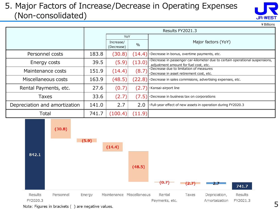#### 5. Major Factors of Increase/Decrease in Operating Expenses (Non-consolidated)

| JR-WEST |  |
|---------|--|

¥Billions

|                               | Results FY2021.3 |                         |        |                                                                                                                       |  |  |  |  |
|-------------------------------|------------------|-------------------------|--------|-----------------------------------------------------------------------------------------------------------------------|--|--|--|--|
|                               |                  | YoY                     |        |                                                                                                                       |  |  |  |  |
|                               |                  | Increase/<br>(Decrease) | $\%$   | Major factors (YoY)                                                                                                   |  |  |  |  |
| Personnel costs               | 183.8            | (30.8)                  | (14.4) | ·Decrease in bonus, overtime payments, etc.                                                                           |  |  |  |  |
| Energy costs                  | 39.5             | (5.9)                   | (13.0) | ·Decrease in passenger car-kilometer due to certain operational suspensions,<br>adjustment amount for fuel cost, etc. |  |  |  |  |
| Maintenance costs             | 151.9            | (14.4)                  | (8.7)  | Decrease due to limitation of measures<br>·Decrease in asset retirement cost, etc.                                    |  |  |  |  |
| Miscellaneous costs           | 163.9            | (48.5)                  | (22.8) | ·Decrease in sales commisions, advertising expenses, etc.                                                             |  |  |  |  |
| Rental Payments, etc.         | 27.6             | (0.7)                   | (2.7   | ·Kansai-airport line                                                                                                  |  |  |  |  |
| Taxes                         | 33.6             | (2.7)                   | (7.5)  | ·Decrease in business tax on corporations                                                                             |  |  |  |  |
| Depreciation and amortization | 141.0            | 2.7                     | 2.0    | . Full-year effect of new assets in operation during FY2020.3                                                         |  |  |  |  |
| Total                         | 741.7            | (100.4)                 | (11.9) |                                                                                                                       |  |  |  |  |

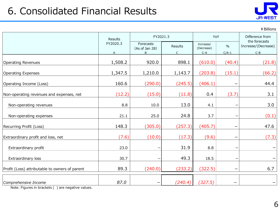### 6. Consolidated Financial Results



¥Billions

|                                                | Results       | FY2021.3                         | YoY                     |                                  | Difference from          |                                               |
|------------------------------------------------|---------------|----------------------------------|-------------------------|----------------------------------|--------------------------|-----------------------------------------------|
|                                                | FY2020.3<br>A | Forecasts<br>(As of Jan 28)<br>B | Results<br>$\mathsf{C}$ | Increase/<br>(Decrease)<br>$C-A$ | $\frac{0}{0}$<br>$C/A-1$ | the forecasts<br>Increase/(Decrease)<br>$C-B$ |
| <b>Operating Revenues</b>                      | 1,508.2       | 920.0                            | 898.1                   | (610.0)                          | (40.4)                   | (21.8)                                        |
| <b>Operating Expenses</b>                      | 1,347.5       | 1,210.0                          | 1,143.7                 | (203.8)                          | (15.1)                   | (66.2)                                        |
| Operating Income (Loss)                        | 160.6         | (290.0)                          | (245.5)                 | (406.1)                          |                          | 44.4                                          |
| Non-operating revenues and expenses, net       | (12.2)        | (15.0)                           | (11.8)                  | 0.4                              | (3.7)                    | 3.1                                           |
| Non-operating revenues                         | 8.8           | 10.0                             | 13.0                    | 4.1                              |                          | 3.0                                           |
| Non-operating expenses                         | 21.1          | 25.0                             | 24.8                    | 3.7                              | $\qquad \qquad$          | (0.1)                                         |
| Recurring Profit (Loss)                        | 148.3         | (305.0)                          | (257.3)                 | (405.7)                          | $\qquad \qquad -$        | 47.6                                          |
| Extraordinary profit and loss, net             | (7.6)         | (10.0)                           | (17.3)                  | (9.6)                            | $\qquad \qquad$          | (7.3)                                         |
| Extraordinary profit                           | 23.0          |                                  | 31.9                    | 8.8                              | -                        |                                               |
| Extraordinary loss                             | 30.7          |                                  | 49.3                    | 18.5                             |                          |                                               |
| Profit (Loss) attributable to owners of parent | 89.3          | (240.0)                          | (233.2)                 | (322.5)                          |                          | 6.7                                           |
| Comprehensive Income                           | 87.0          |                                  | (240.4)                 | (327.5)                          | $\qquad \qquad$          | -                                             |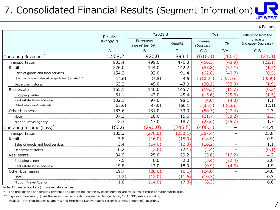## 7. Consolidated Financial Results (Segment Information)

#### ¥Billions

|                                                                 |          |                             |         |                         |                          | ¥ Billions                       |
|-----------------------------------------------------------------|----------|-----------------------------|---------|-------------------------|--------------------------|----------------------------------|
|                                                                 | Results  | FY2021.3                    | YoY     |                         | Difference from the      |                                  |
|                                                                 | FY2020.3 | Forecasts<br>(As of Jan 28) | Results | Increase/<br>(Decrease) | $\frac{0}{0}$            | forecasts<br>Increase/(Decrease) |
|                                                                 | A        | B                           | C       | $C-A$                   | $C/A-1$                  | $C-B$                            |
| Operating Revenues $^{\ast1}$                                   | 1,508.2  | 920.0                       | 898.1   | (610.0)                 | (40.4)                   | (21.8)                           |
| Transportation                                                  | 933.4    | 499.0                       | 476.8   | (456.5)                 | (48.9)                   | (22.1)                           |
| Retail                                                          | 226.0    | 144.0                       | 142.2   | (83.8)                  | (37.1)                   | (1.7)                            |
| Sales of goods and food services                                | 154.2    | 92.0                        | 91.4    | (62.8)                  | (40.7)                   | (0.5)                            |
| [Accommodation-oriented budget hotels] (restated) <sup>*2</sup> | [14.6]   | [5.5]                       | [4.5]   | (10.0)                  | (68.7)                   | [(0.9)]                          |
| Department stores                                               | 63.2     | 45.0                        | 43.0    | (20.2)                  | (32.0)                   | (1.9)                            |
| Real estate                                                     | 165.1    | 146.0                       | 145.7   | (19.3)                  | (11.7)                   | (0.2)                            |
| Shopping center                                                 | 61.1     | 47.0                        | 45.4    | (15.6)                  | (25.6)                   | (1.5)                            |
| Real estate lease and sale                                      | 102.1    | 97.0                        | 98.1    | (4.0)                   | (4.0)                    | 1.1                              |
| [Real estate sale] (restated)                                   | [53.6]   | [48.0]                      | [50.1]  | $(3.5)$ ]               | (6.6)                    | [2.1]                            |
| Other businesses                                                | 183.6    | 131.0                       | 133.3   | (50.3)                  | (27.4)                   | 2.3                              |
| Hotel                                                           | 37.3     | 18.0                        | 15.6    | (21.7)                  | (58.2)                   | (2.3)                            |
| Nippon Travel Agency                                            | 42.3     | 17.0                        | 18.7    | (23.6)                  | (55.7)                   | 1.7                              |
| Operating Income (Loss) <sup>*1</sup>                           | 160.6    | (290.0)                     | (245.5) | (406.1)                 |                          | 44.4                             |
| Transportation                                                  | 105.3    | (276.0)                     | (252.1) | (357.4)                 |                          | 23.8                             |
| Retail                                                          | 3.8      | (16.0)                      | (15.0)  | (18.9)                  |                          | 0.9                              |
| Sales of goods and food services                                | 3.4      | (14.0)                      | (12.8)  | (16.2)                  |                          | 1.1                              |
| Department stores                                               | 0.2      | (2.0)                       | (2.1)   | (2.4)                   |                          | (0.1)                            |
| Real estate                                                     | 34.9     | 25.0                        | 29.2    | (5.6)                   | (16.2)                   | 4.2                              |
| Shopping center                                                 | 7.5      | 0.0                         | 2.0     | (5.4)                   | (72.4)                   | 2.0                              |
| Real estate lease and sale                                      | 19.8     | 17.0                        | 18.9    | (0.9)                   | (4.7)                    | 1.9                              |
| Other businesses                                                | 19.7     | (20.0)                      | (5.1)   | (24.8)                  |                          | 14.8                             |
| Hotel                                                           | (1.2)    | (12.0)                      | (11.6)  | (10.3)                  |                          | 0.3                              |
| Nippon Travel Agency                                            | 1.0      | (14.0)                      | (7.3)   | (8.3)                   | $\overline{\phantom{m}}$ | 6.6                              |
|                                                                 |          |                             |         |                         |                          |                                  |

Note: Figures in brackets ( ) are negative values.

\*1 The breakdowns of operating revenues and operating income by each segment are the sums of those of major subsidiaries.

\*2 Figures in brackets 【 】 are the sales of accommodation-oriented budget hotel, "VIA INN", sales, excluding Asakusa (other businesses segment), and Hiroshima Kanayamacho (other businesses segment) locations.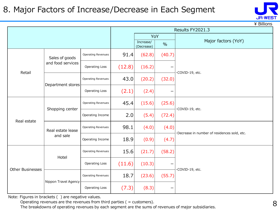#### 8. Major Factors of Increase/Decrease in Each Segment

|                         |                      |                           |        | Results FY2021.3        |               |                                              |  |  |  |  |
|-------------------------|----------------------|---------------------------|--------|-------------------------|---------------|----------------------------------------------|--|--|--|--|
|                         |                      |                           |        | YoY                     |               |                                              |  |  |  |  |
|                         |                      |                           |        | Increase/<br>(Decrease) | $\frac{0}{0}$ | Major factors (YoY)                          |  |  |  |  |
|                         | Sales of goods       | <b>Operating Revenues</b> | 91.4   | (62.8)                  | (40.7)        |                                              |  |  |  |  |
| Retail                  | and food services    | <b>Operating Loss</b>     | (12.8) | (16.2)                  |               | COVID-19, etc.                               |  |  |  |  |
|                         | Department stores    | <b>Operating Revenues</b> | 43.0   | (20.2)                  | (32.0)        |                                              |  |  |  |  |
|                         |                      | <b>Operating Loss</b>     | (2.1)  | (2.4)                   |               |                                              |  |  |  |  |
|                         | Shopping center      | <b>Operating Revenues</b> | 45.4   | (15.6)                  | (25.6)        | ·COVID-19, etc.                              |  |  |  |  |
| Real estate             |                      | Operating Income          | 2.0    | (5.4)                   | (72.4)        |                                              |  |  |  |  |
|                         | Real estate lease    | Operating Revenues        | 98.1   | (4.0)                   | (4.0)         | ·Decrease in number of residences sold, etc. |  |  |  |  |
|                         | and sale             | Operating Income          | 18.9   | (0.9)                   | (4.7)         |                                              |  |  |  |  |
|                         | Hotel                | <b>Operating Revenues</b> | 15.6   | (21.7)                  | (58.2)        |                                              |  |  |  |  |
| <b>Other Businesses</b> |                      | Operating Loss            | (11.6) | (10.3)                  |               | ·COVID-19, etc.                              |  |  |  |  |
|                         | Nippon Travel Agency | <b>Operating Revenues</b> | 18.7   | (23.6)                  | (55.7)        |                                              |  |  |  |  |
|                         |                      | <b>Operating Loss</b>     | (7.3)  | (8.3)                   |               |                                              |  |  |  |  |

Note: Figures in brackets ( ) are negative values.

Operating revenues are the revenues from third parties ( = customers).

The breakdowns of operating revenues by each segment are the sums of revenues of major subsidiaries.

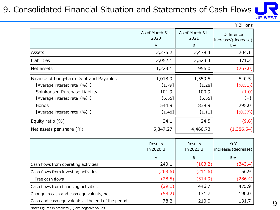### 9. Consolidated Financial Situation and Statements of Cash Flows I



¥Billions

|                                        | As of March 31,<br>2020<br>A | As of March 31,<br>2021<br>B | <b>Difference</b><br>increase/(decrease)<br>B-A |
|----------------------------------------|------------------------------|------------------------------|-------------------------------------------------|
| Assets                                 | 3,275.2                      | 3,479.4                      | 204.1                                           |
| <b>Liabilities</b>                     | 2,052.1                      | 2,523.4                      | 471.2                                           |
| Net assets                             | 1,223.1                      | 956.0                        | (267.0)                                         |
| Balance of Long-term Debt and Payables | 1,018.9                      | 1,559.5                      | 540.5                                           |
| [Average interest rate (%) ]           | [1.79]                       | (1.28)                       | [(0.51)]                                        |
| Shinkansen Purchase Liability          | 101.9                        | 100.9                        | (1.0)                                           |
| [Average interest rate (%) ]           | [6.55]                       | [6.55]                       | $(-)$                                           |
| <b>Bonds</b>                           | 544.9                        | 839.9                        | 295.0                                           |
| [Average interest rate (%) ]           | [1.48]                       | [1.11]                       | [(0.37)]                                        |
| Equity ratio (%)                       | 34.1                         | 24.5                         | (9.6)                                           |
| Net assets per share $(4)$             | 5,847.27                     | 4,460.73                     | (1,386.54)                                      |

|                                                    | Results<br>FY2020.3 | Results<br>FY2021.3 | YoY<br>increase/(decrease) |
|----------------------------------------------------|---------------------|---------------------|----------------------------|
|                                                    | A                   | B                   | $B-A$                      |
| Cash flows from operating activities               | 240.1               | (103.2)             | (343.4)                    |
| Cash flows from investing activities               | (268.6)             | (211.6)             | 56.9                       |
| Free cash flows                                    | (28.5)              | (314.9)             | (286.4)                    |
| Cash flows from financing activities               | (29.1)              | 446.7               | 475.9                      |
| Change in cash and cash equivalents, net           | (58.2)              | 131.7               | 190.0                      |
| Cash and cash equivalents at the end of the period | 78.2                | 210.0               | 131.7                      |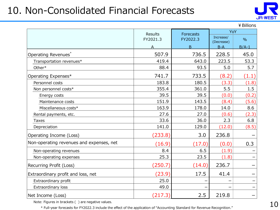### 10. Non-Consolidated Financial Forecasts



¥Billions

|                                          | Results  | Forecasts | YoY                 |               |  |
|------------------------------------------|----------|-----------|---------------------|---------------|--|
|                                          | FY2021.3 | FY2022.3  | Increase/           | $\frac{0}{0}$ |  |
|                                          | A        | B         | (Decrease)<br>$B-A$ | $B/A-1$       |  |
| Operating Revenues*                      | 507.9    | 736.5     | 228.5               | 45.0          |  |
| Transportation revenues*                 | 419.4    | 643.0     | 223.5               | 53.3          |  |
| Other*                                   | 88.4     | 93.5      | 5.0                 | 5.7           |  |
| Operating Expenses*                      | 741.7    | 733.5     | (8.2)               | (1.1)         |  |
| Personnel costs                          | 183.8    | 180.5     | (3.3)               | (1.8)         |  |
| Non personnel costs*                     | 355.4    | 361.0     | 5.5                 | 1.5           |  |
| Energy costs                             | 39.5     | 39.5      | (0.0)               | (0.2)         |  |
| Maintenance costs                        | 151.9    | 143.5     | (8.4)               | (5.6)         |  |
| Miscellaneous costs*                     | 163.9    | 178.0     | 14.0                | 8.6           |  |
| Rental payments, etc.                    | 27.6     | 27.0      | (0.6)               | (2.3)         |  |
| <b>Taxes</b>                             | 33.6     | 36.0      | 2.3                 | 6.8           |  |
| Depreciation                             | 141.0    | 129.0     | (12.0)              | (8.5)         |  |
| Operating Income (Loss)                  | (233.8)  | 3.0       | 236.8               |               |  |
| Non-operating revenues and expenses, net | (16.9)   | (17.0)    | (0.0)               | 0.3           |  |
| Non-operating revenues                   | 8.4      | 6.5       | (1.9)               |               |  |
| Non-operating expenses                   | 25.3     | 23.5      | (1.8)               |               |  |
| Recurring Profit (Loss)                  | (250.7)  | (14.0)    | 236.7               |               |  |
| Extraordinary profit and loss, net       | (23.9)   | 17.5      | 41.4                |               |  |
| Extraordinary profit                     | 25.0     |           |                     |               |  |
| Extraordinary loss                       | 49.0     |           |                     |               |  |
| Net Income (Loss)                        | (217.3)  | 2.5       | 219.8               |               |  |

Note: Figures in brackets ( ) are negative values.

\* Full-year forecasts for FY2022.3 include the effect of the application of "Accounting Standard for Revenue Recognition."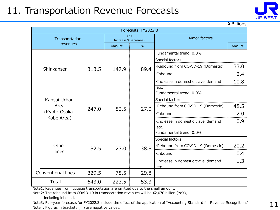### 11. Transportation Revenue Forecasts



¥Billions

| Forecasts FY2022.3         |                                       |        |                     |      |                                      |       |  |  |
|----------------------------|---------------------------------------|--------|---------------------|------|--------------------------------------|-------|--|--|
| Transportation<br>revenues |                                       |        | Increase/(Decrease) | YoY  | Major factors                        |       |  |  |
|                            |                                       | Amount | $\frac{0}{0}$       |      | Amount                               |       |  |  |
|                            |                                       |        |                     |      | Fundamental trend 0.0%               |       |  |  |
|                            |                                       |        |                     |      | Special factors                      |       |  |  |
|                            | Shinkansen                            | 313.5  | 147.9               | 89.4 | ·Rebound from COVID-19 (Domestic)    | 133.0 |  |  |
|                            |                                       |        |                     |      | ·Inbound                             | 2.4   |  |  |
|                            |                                       |        |                     |      | · Increase in domestic travel demand | 10.8  |  |  |
|                            |                                       |        |                     |      | etc.                                 |       |  |  |
|                            |                                       |        | 52.5                | 27.0 | Fundamental trend 0.0%               |       |  |  |
|                            | Kansai Urban<br>Area<br>(Kyoto-Osaka- | 247.0  |                     |      | Special factors                      |       |  |  |
|                            |                                       |        |                     |      | ·Rebound from COVID-19 (Domestic)    | 48.5  |  |  |
|                            |                                       |        |                     |      | ·Inbound                             | 2.0   |  |  |
|                            | Kobe Area)                            |        |                     |      | · Increase in domestic travel demand | 0.9   |  |  |
|                            |                                       |        |                     |      | etc.                                 |       |  |  |
|                            |                                       | 82.5   | 23.0                | 38.8 | Fundamental trend 0.0%               |       |  |  |
|                            |                                       |        |                     |      | Special factors                      |       |  |  |
|                            | Other                                 |        |                     |      | ·Rebound from COVID-19 (Domestic)    | 20.2  |  |  |
|                            | lines                                 |        |                     |      | ·Inbound                             | 0.4   |  |  |
|                            |                                       |        |                     |      | ·Increase in domestic travel demand  | 1.3   |  |  |
|                            |                                       |        |                     |      | etc.                                 |       |  |  |
|                            | <b>Conventional lines</b>             | 329.5  | 75.5                | 29.8 |                                      |       |  |  |
|                            | Total                                 | 643.0  | 223.5               | 53.3 |                                      |       |  |  |

Note1: Revenues from luggage transportation are omitted due to the small amount.

Note2: The rebound from COVID-19 in transportation revenues will be ¥2,070 billion (YoY),

including inbound.

Note3: Full-year forecasts for FY2022.3 include the effect of the application of "Accounting Standard for Revenue Recognition." Note4: Figures in brackets () are negative values.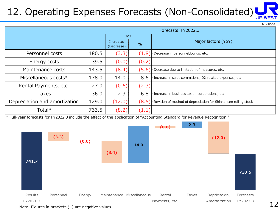## 12. Operating Expenses Forecasts (Non-Consolidated)

|                               |       |                         |               | ¥ Billions                                                       |  |  |
|-------------------------------|-------|-------------------------|---------------|------------------------------------------------------------------|--|--|
|                               |       | Forecasts FY2022.3      |               |                                                                  |  |  |
|                               |       | YoY                     |               |                                                                  |  |  |
|                               |       | Increase/<br>(Decrease) | $\frac{0}{0}$ | Major factors (YoY)                                              |  |  |
| Personnel costs               | 180.5 | (3.3)                   | (1.8)         | ·Decrease in personnel, bonus, etc.                              |  |  |
| Energy costs                  | 39.5  | (0.0)                   | (0.2)         |                                                                  |  |  |
| Maintenance costs             | 143.5 | (8.4)                   | (5.6)         | ·Decrease due to limitation of measures, etc.                    |  |  |
| Miscellaneous costs*          | 178.0 | 14.0                    | 8.6           | · Increase in sales commisions, DX related expenses, etc.        |  |  |
| Rental Payments, etc.         | 27.0  | (0.6)                   | (2.3)         |                                                                  |  |  |
| <b>Taxes</b>                  | 36.0  | 2.3                     | 6.8           | · Increase in business tax on corporations, etc.                 |  |  |
| Depreciation and amortization | 129.0 | (12.0)                  | (8.5)         | ·Revision of method of depreciation for Shinkansen rolling stock |  |  |
| Total*                        | 733.5 | (8.2)                   | (1.1)         |                                                                  |  |  |

\* Full-year forecasts for FY2022.3 include the effect of the application of "Accounting Standard for Revenue Recognition."



Note: Figures in brackets () are negative values.

¥Billions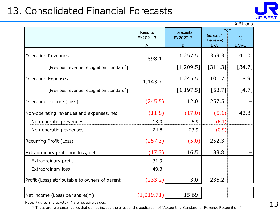### 13. Consolidated Financial Forecasts



¥Billions

|                                                       | Results     | <b>Forecasts</b> | YoY                     |               |
|-------------------------------------------------------|-------------|------------------|-------------------------|---------------|
|                                                       | FY2021.3    | FY2022.3         | Increase/<br>(Decrease) | $\frac{0}{0}$ |
|                                                       | А           | B                | $B-A$                   | $B/A-1$       |
| <b>Operating Revenues</b>                             | 898.1       | 1,257.5          | 359.3                   | 40.0          |
| [Previous revenue recognition standard <sup>*</sup> ] |             | [1, 209.5]       | [311.3]                 | [34.7]        |
| <b>Operating Expenses</b>                             | 1,143.7     | 1,245.5          | 101.7                   | 8.9           |
| [Previous revenue recognition standard <sup>*</sup> ] |             | [1, 197.5]       | $[53.7]$                | $[4.7]$       |
| Operating Income (Loss)                               | (245.5)     | 12.0             | 257.5                   |               |
| Non-operating revenues and expenses, net              | (11.8)      | (17.0)           | (5.1)                   | 43.8          |
| Non-operating revenues                                | 13.0        | 6.9              | (6.1)                   |               |
| Non-operating expenses                                | 24.8        | 23.9             | (0.9)                   |               |
| Recurring Profit (Loss)                               | (257.3)     | (5.0)            | 252.3                   |               |
| Extraordinary profit and loss, net                    | (17.3)      | 16.5             | 33.8                    |               |
| Extraordinary profit                                  | 31.9        |                  |                         |               |
| Extraordinary loss                                    | 49.3        |                  |                         |               |
| Profit (Loss) attributable to owners of parent        | (233.2)     | 3.0              | 236.2                   |               |
| Net income (Loss) per share(¥)                        | (1, 219.71) | 15.69            |                         |               |

Note: Figures in brackets ( ) are negative values.

\* These are reference figures that do not include the effect of the application of "Accounting Standard for Revenue Recognition."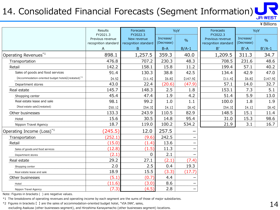### 14. Consolidated Financial Forecasts (Segment Information)



|                                                                 |                                          |                                     |                         |                          |                                          |                         | <b>JR-WEST</b> |
|-----------------------------------------------------------------|------------------------------------------|-------------------------------------|-------------------------|--------------------------|------------------------------------------|-------------------------|----------------|
|                                                                 |                                          |                                     |                         |                          |                                          |                         | ¥ Billions     |
|                                                                 | <b>Results</b><br>FY2021.3               | <b>Forecasts</b><br>FY2022.3        | YoY                     |                          | <b>Forecasts</b><br>FY2022.3             |                         | YoY            |
|                                                                 | Previous revenue<br>recognition standard | New revenue<br>recognition standard | Increase/<br>(Decrease) | $\frac{0}{0}$            | Previous revenue<br>recognition standard | Increase/<br>(Decrease) | $\frac{0}{0}$  |
|                                                                 | A                                        | $\mathsf B$                         | $B-A$                   | $B/A-1$                  | $\mathsf{B}'$                            | $B'-A$                  | $B'/A-1$       |
| Operating Revenues*1                                            | 898.1                                    | 1,257.5                             | 359.3                   | 40.0                     | 1,209.5                                  | 311.3                   | 34.7           |
| Transportation                                                  | 476.8                                    | 707.2                               | 230.3                   | 48.3                     | 708.5                                    | 231.6                   | 48.6           |
| Retail                                                          | 142.2                                    | 158.1                               | 15.8                    | 11.2                     | 199.4                                    | 57.1                    | 40.2           |
| Sales of goods and food services                                | 91.4                                     | 130.3                               | 38.8                    | 42.5                     | 134.4                                    | 42.9                    | 47.0           |
| [Accommodation-oriented budget hotels] (restated) <sup>*2</sup> | [4.5]                                    | [11.4]                              | [6.8]                   | [147.9]                  | [11.4]                                   | [6.8]                   | [147.9]        |
| Department stores                                               | 43.0                                     | 22.4                                | (20.6)                  | (47.9)                   | 57.1                                     | 14.0                    | 32.7           |
| Real estate                                                     | 145.7                                    | 148.3                               | 2.5                     | 1.8                      | 153.1                                    | 7.3                     | 5.1            |
| Shopping center                                                 | 45.4                                     | 47.4                                | 1.9                     | 4.2                      | 51.4                                     | 5.9                     | 13.0           |
| Real estate lease and sale                                      | 98.1                                     | 99.2                                | 1.0                     | 1.1                      | 100.0                                    | 1.8                     | 1.9            |
| [Real estate sale] (restated)                                   | [50.1]                                   | [54.3]                              | [4.1]                   | [8.4]                    | [54.3]                                   | [4.1]                   | [8.4]          |
| Other businesses                                                | 133.3                                    | 243.9                               | 110.5                   | 82.9                     | 148.5                                    | 15.1                    | 11.4           |
| Hotel                                                           | 15.6                                     | 30.5                                | 14.8                    | 95.4                     | 31.0                                     | 15.3                    | 98.6           |
| Nippon Travel Agency                                            | 18.7                                     | 119.0                               | 100.2                   | 534.2                    | 21.9                                     | 3.1                     | 16.7           |
| Operating Income (Loss) <sup>*1</sup>                           | (245.5)                                  | 12.0                                | 257.5                   |                          |                                          |                         |                |
| Transportation                                                  | (252.1)                                  | (9.6)                               | 242.5                   |                          |                                          |                         |                |
| Retail                                                          | (15.0)                                   | (1.4)                               | 13.6                    |                          |                                          |                         |                |
| Sales of goods and food services                                | (12.8)                                   | (1.5)                               | 11.3                    |                          |                                          |                         |                |
| Department stores                                               | (2.1)                                    | 0                                   | 2.1                     |                          |                                          |                         |                |
| Real estate                                                     | 29.2                                     | 27.1                                | (2.1)                   | (7.4)                    |                                          |                         |                |
| Shopping center                                                 | 2.0                                      | 2.5                                 | 0.4                     | 19.3                     |                                          |                         |                |
| Real estate lease and sale                                      | 18.9                                     | 15.5                                | (3.3)                   | (17.7)                   |                                          |                         |                |
| Other businesses                                                | (5.1)                                    | (0.7)                               | 4.4                     |                          |                                          |                         |                |
| Hotel                                                           | (11.6)                                   | (3.0)                               | 8.6                     |                          |                                          |                         |                |
| Nippon Travel Agency                                            | (7.3)                                    | (4.5)                               | 2.8                     | $\overline{\phantom{m}}$ |                                          |                         |                |

Note: Figures in brackets ( ) are negative values.

\*1 The breakdowns of operating revenues and operating income by each segment are the sums of those of major subsidiaries.

\*2 Figures in brackets 【 】 are the sales of accommodation-oriented budget hotel, "VIA INN", sales,

excluding Asakusa (other businesses segment), and Hiroshima Kanayamacho (other businesses segment) locations.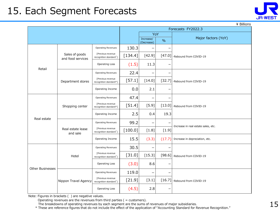### 15. Each Segment Forecasts

| ¥ Billions              |                                     |                                                          |                         |               |                     |                                       |  |
|-------------------------|-------------------------------------|----------------------------------------------------------|-------------------------|---------------|---------------------|---------------------------------------|--|
|                         |                                     |                                                          | Forecasts FY2022.3      |               |                     |                                       |  |
|                         |                                     |                                                          | YoY                     |               |                     |                                       |  |
|                         |                                     |                                                          | Increase/<br>(Decrease) | $\frac{0}{0}$ | Major factors (YoY) |                                       |  |
|                         |                                     | Operating Revenues                                       | 130.3                   |               |                     |                                       |  |
|                         | Sales of goods<br>and food services | [Previous revenue<br>recognition standard <sup>*</sup> ] | $[134.4]$               | $[42.9]$      | [47.0]              | ·Rebound from COVID-19                |  |
|                         |                                     | Operating Loss                                           | (1.5)                   | 11.3          |                     |                                       |  |
| Retail                  |                                     | Operating Revenues                                       | 22.4                    |               | -                   |                                       |  |
|                         | Department stores                   | [Previous revenue<br>recognition standard*]              | $[57.1]$                | $[14.0]$      | $[32.7]$            | ·Rebound from COVID-19                |  |
|                         |                                     | Operating Income                                         | 0.0                     | 2.1           |                     |                                       |  |
| Real estate             | Shopping center                     | Operating Revenues                                       | 47.4                    |               | -                   |                                       |  |
|                         |                                     | [Previous revenue<br>recognition standard*]              | $[51.4]$                | $[5.9]$       | $[13.0]$            | ·Rebound from COVID-19                |  |
|                         |                                     | Operating Income                                         | 2.5                     | 0.4           | 19.3                |                                       |  |
|                         | Real estate lease<br>and sale       | Operating Revenues                                       | 99.2                    | -             |                     | · Increase in real estate sales, etc. |  |
|                         |                                     | [Previous revenue<br>recognition standard <sup>*</sup> ] | [100.0]                 | $[1.8]$       | $[1.9]$             |                                       |  |
|                         |                                     | Operating Income                                         | 15.5                    | (3.3)         | (17.7)              | · Increase in depreciation, etc.      |  |
|                         |                                     | <b>Operating Revenues</b>                                | 30.5                    |               |                     |                                       |  |
|                         | Hotel                               | [Previous revenue<br>recognition standard <sup>*</sup> ] | $[31.0]$                | $[15.3]$      | [98.6]              | ·Rebound from COVID-19                |  |
| <b>Other Businesses</b> |                                     | Operating Loss                                           | (3.0)                   | 8.6           |                     |                                       |  |
|                         |                                     | Operating Revenues                                       | 119.0                   | -             |                     |                                       |  |
|                         | Nippon Travel Agency                | [Previous revenue<br>recognition standard*]              | $[21.9]$                | $[3.1]$       | $[16.7]$            | ·Rebound from COVID-19                |  |
|                         |                                     | Operating Loss                                           | (4.5)                   | 2.8           | —                   |                                       |  |

Note: Figures in brackets ( ) are negative values.

Operating revenues are the revenues from third parties ( = customers).

The breakdowns of operating revenues by each segment are the sums of revenues of major subsidiaries.

\* These are reference figures that do not include the effect of the application of "Accounting Standard for Revenue Recognition."

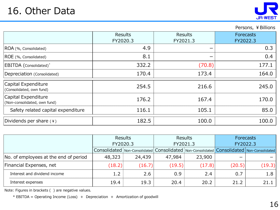

#### Persons, ¥ Billions

|                                                     | Results<br>FY2020.3 | Results<br>FY2021.3 | Forecasts<br>FY2022.3 |
|-----------------------------------------------------|---------------------|---------------------|-----------------------|
| ROA (%, Consolidated)                               | 4.9                 |                     | 0.3                   |
| ROE (%, Consolidated)                               | 8.1                 |                     | 0.4                   |
| EBITDA (Consolidated)*                              | 332.2               | (70.8)              | 177.1                 |
| Depreciation (Consolidated)                         | 170.4               | 173.4               | 164.0                 |
| Capital Expenditure<br>(Consolidated, own fund)     | 254.5               | 216.6               | 245.0                 |
| Capital Expenditure<br>(Non-consolidated, own fund) | 176.2               | 167.4               | 170.0                 |
| Safety related capital expenditure                  | 116.1               | 105.1               | 85.0                  |
| Dividends per share (¥)                             | 182.5               | 100.0               | 100.0                 |

|                                       | Results                                                                                   |        |          | <b>Results</b> | <b>Forecasts</b> |        |  |
|---------------------------------------|-------------------------------------------------------------------------------------------|--------|----------|----------------|------------------|--------|--|
|                                       | FY2020.3                                                                                  |        | FY2021.3 |                | FY2022.3         |        |  |
|                                       | Consolidated Non-Consolidated Consolidated Non-Consolidated Consolidated Non-Consolidated |        |          |                |                  |        |  |
| No. of employees at the end of period | 48,323                                                                                    | 24,439 | 47,984   | 23,900         |                  |        |  |
| Financial Expenses, net               | (18.2)                                                                                    | (16.7) | (19.5)   | (17.8)         | (20.5)           | (19.3) |  |
| Interest and dividend income          |                                                                                           | 2.6    | 0.9      | 2.4            | 0.7              | 1.8    |  |
| Interest expenses                     | 19.4                                                                                      | 19.3   | 20.4     | 20.2           | 21.2             | 21.1   |  |

Note: Figures in brackets ( ) are negative values.

\* EBITDA = Operating Income (Loss) + Depreciation + Amortization of goodwill